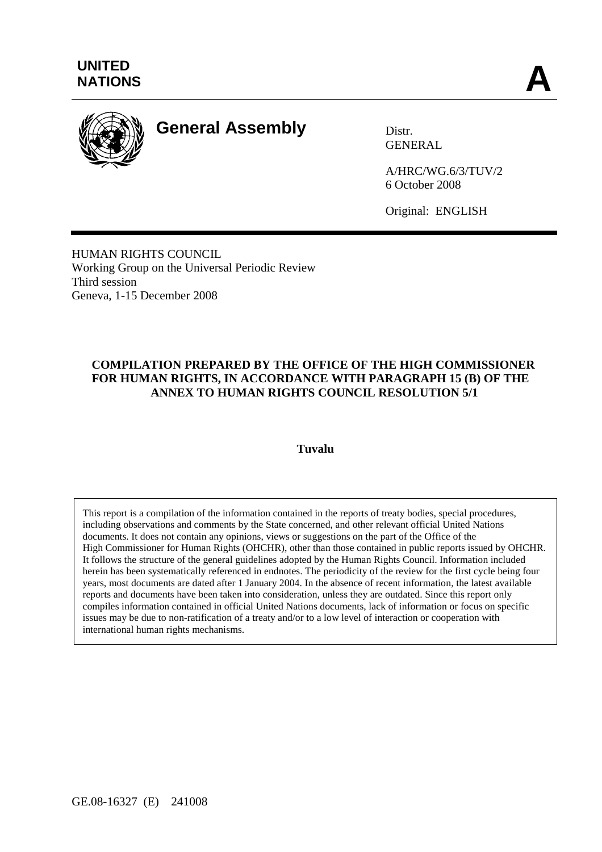

# **General Assembly** Distr.

GENERAL

A/HRC/WG.6/3/TUV/2 6 October 2008

Original: ENGLISH

HUMAN RIGHTS COUNCIL Working Group on the Universal Periodic Review Third session Geneva, 1-15 December 2008

## **COMPILATION PREPARED BY THE OFFICE OF THE HIGH COMMISSIONER FOR HUMAN RIGHTS, IN ACCORDANCE WITH PARAGRAPH 15 (B) OF THE ANNEX TO HUMAN RIGHTS COUNCIL RESOLUTION 5/1**

#### **Tuvalu**

This report is a compilation of the information contained in the reports of treaty bodies, special procedures, including observations and comments by the State concerned, and other relevant official United Nations documents. It does not contain any opinions, views or suggestions on the part of the Office of the High Commissioner for Human Rights (OHCHR), other than those contained in public reports issued by OHCHR. It follows the structure of the general guidelines adopted by the Human Rights Council. Information included herein has been systematically referenced in endnotes. The periodicity of the review for the first cycle being four years, most documents are dated after 1 January 2004. In the absence of recent information, the latest available reports and documents have been taken into consideration, unless they are outdated. Since this report only compiles information contained in official United Nations documents, lack of information or focus on specific issues may be due to non-ratification of a treaty and/or to a low level of interaction or cooperation with international human rights mechanisms.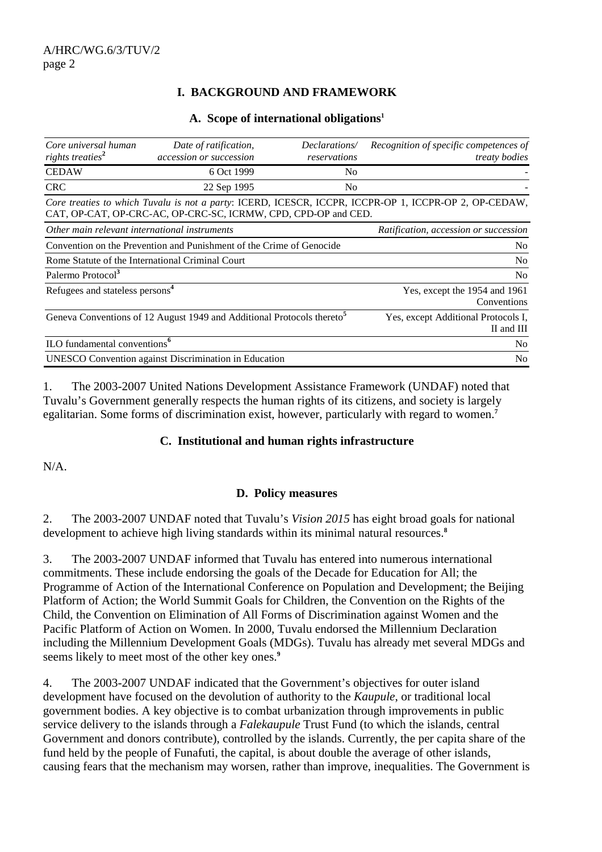## **I. BACKGROUND AND FRAMEWORK**

#### **A. Scope of international obligations1**

| Core universal human<br>rights treaties <sup>2</sup>                               | Date of ratification,<br>accession or succession                     | Declarations/<br>reservations | Recognition of specific competences of<br>treaty bodies                                               |
|------------------------------------------------------------------------------------|----------------------------------------------------------------------|-------------------------------|-------------------------------------------------------------------------------------------------------|
| <b>CEDAW</b>                                                                       | 6 Oct 1999                                                           | N <sub>0</sub>                |                                                                                                       |
| <b>CRC</b>                                                                         | 22 Sep 1995                                                          | N <sub>0</sub>                |                                                                                                       |
|                                                                                    | CAT, OP-CAT, OP-CRC-AC, OP-CRC-SC, ICRMW, CPD, CPD-OP and CED.       |                               | Core treaties to which Tuvalu is not a party: ICERD, ICESCR, ICCPR, ICCPR-OP 1, ICCPR-OP 2, OP-CEDAW, |
| Other main relevant international instruments                                      |                                                                      |                               | Ratification, accession or succession                                                                 |
|                                                                                    | Convention on the Prevention and Punishment of the Crime of Genocide |                               | N <sub>0</sub>                                                                                        |
| Rome Statute of the International Criminal Court                                   |                                                                      |                               | N <sub>0</sub>                                                                                        |
| Palermo Protocol <sup>3</sup>                                                      |                                                                      |                               | N <sub>o</sub>                                                                                        |
| Refugees and stateless persons <sup>4</sup>                                        |                                                                      |                               | Yes, except the 1954 and 1961<br>Conventions                                                          |
| Geneva Conventions of 12 August 1949 and Additional Protocols thereto <sup>5</sup> |                                                                      |                               | Yes, except Additional Protocols I,<br>II and III                                                     |
| ILO fundamental conventions <sup>6</sup>                                           |                                                                      |                               | N <sub>0</sub>                                                                                        |
| <b>UNESCO</b> Convention against Discrimination in Education                       |                                                                      |                               | N <sub>0</sub>                                                                                        |

1. The 2003-2007 United Nations Development Assistance Framework (UNDAF) noted that Tuvalu's Government generally respects the human rights of its citizens, and society is largely egalitarian. Some forms of discrimination exist, however, particularly with regard to women.**<sup>7</sup>**

#### **C. Institutional and human rights infrastructure**

 $N/A$ 

#### **D. Policy measures**

2. The 2003-2007 UNDAF noted that Tuvalu's *Vision 2015* has eight broad goals for national development to achieve high living standards within its minimal natural resources.**<sup>8</sup>**

3. The 2003-2007 UNDAF informed that Tuvalu has entered into numerous international commitments. These include endorsing the goals of the Decade for Education for All; the Programme of Action of the International Conference on Population and Development; the Beijing Platform of Action; the World Summit Goals for Children, the Convention on the Rights of the Child, the Convention on Elimination of All Forms of Discrimination against Women and the Pacific Platform of Action on Women. In 2000, Tuvalu endorsed the Millennium Declaration including the Millennium Development Goals (MDGs). Tuvalu has already met several MDGs and seems likely to meet most of the other key ones.**<sup>9</sup>**

4. The 2003-2007 UNDAF indicated that the Government's objectives for outer island development have focused on the devolution of authority to the *Kaupule*, or traditional local government bodies. A key objective is to combat urbanization through improvements in public service delivery to the islands through a *Falekaupule* Trust Fund (to which the islands, central Government and donors contribute), controlled by the islands. Currently, the per capita share of the fund held by the people of Funafuti, the capital, is about double the average of other islands, causing fears that the mechanism may worsen, rather than improve, inequalities. The Government is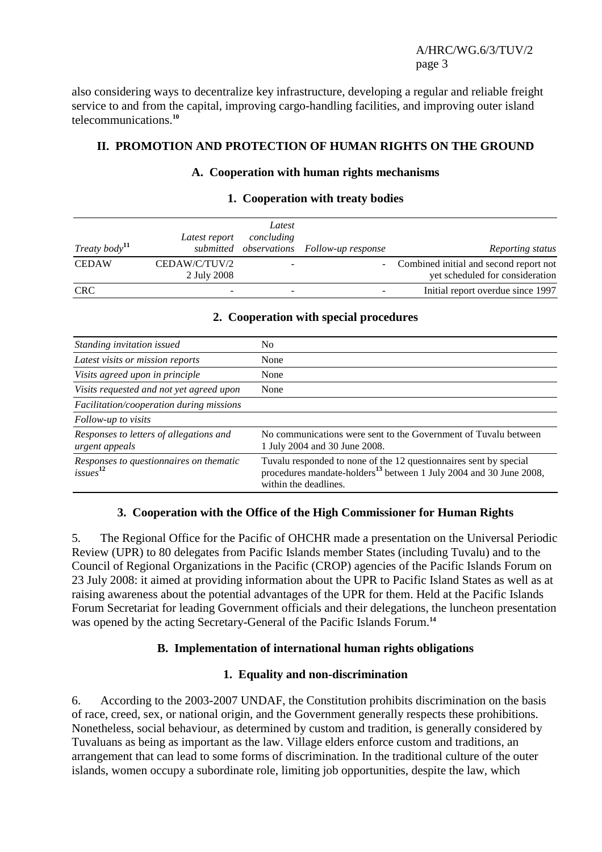also considering ways to decentralize key infrastructure, developing a regular and reliable freight service to and from the capital, improving cargo-handling facilities, and improving outer island telecommunications.**<sup>10</sup>**

## **II. PROMOTION AND PROTECTION OF HUMAN RIGHTS ON THE GROUND**

## **A. Cooperation with human rights mechanisms**

|                  | Latest report                | Latest<br>concluding |                                           |                                                                             |
|------------------|------------------------------|----------------------|-------------------------------------------|-----------------------------------------------------------------------------|
| Treaty body $11$ |                              |                      | submitted observations Follow-up response | Reporting status                                                            |
| <b>CEDAW</b>     | CEDAW/C/TUV/2<br>2 July 2008 |                      |                                           | - Combined initial and second report not<br>yet scheduled for consideration |
| <b>CRC</b>       |                              |                      |                                           | Initial report overdue since 1997                                           |

## **1. Cooperation with treaty bodies**

#### **2. Cooperation with special procedures**

| Standing invitation issued                                      | No                                                                                                                                                                           |
|-----------------------------------------------------------------|------------------------------------------------------------------------------------------------------------------------------------------------------------------------------|
| Latest visits or mission reports                                | None                                                                                                                                                                         |
| Visits agreed upon in principle                                 | None                                                                                                                                                                         |
| Visits requested and not yet agreed upon                        | None                                                                                                                                                                         |
| Facilitation/cooperation during missions                        |                                                                                                                                                                              |
| Follow-up to visits                                             |                                                                                                                                                                              |
| Responses to letters of allegations and<br>urgent appeals       | No communications were sent to the Government of Tuvalu between<br>1 July 2004 and 30 June 2008.                                                                             |
| Responses to questionnaires on thematic<br>issues <sup>12</sup> | Tuvalu responded to none of the 12 questionnaires sent by special<br>procedures mandate-holders <sup>13</sup> between 1 July 2004 and 30 June 2008,<br>within the deadlines. |

## **3. Cooperation with the Office of the High Commissioner for Human Rights**

5. The Regional Office for the Pacific of OHCHR made a presentation on the Universal Periodic Review (UPR) to 80 delegates from Pacific Islands member States (including Tuvalu) and to the Council of Regional Organizations in the Pacific (CROP) agencies of the Pacific Islands Forum on 23 July 2008: it aimed at providing information about the UPR to Pacific Island States as well as at raising awareness about the potential advantages of the UPR for them. Held at the Pacific Islands Forum Secretariat for leading Government officials and their delegations, the luncheon presentation was opened by the acting Secretary-General of the Pacific Islands Forum.**<sup>14</sup>**

## **B. Implementation of international human rights obligations**

#### **1. Equality and non-discrimination**

6. According to the 2003-2007 UNDAF, the Constitution prohibits discrimination on the basis of race, creed, sex, or national origin, and the Government generally respects these prohibitions. Nonetheless, social behaviour, as determined by custom and tradition, is generally considered by Tuvaluans as being as important as the law. Village elders enforce custom and traditions, an arrangement that can lead to some forms of discrimination. In the traditional culture of the outer islands, women occupy a subordinate role, limiting job opportunities, despite the law, which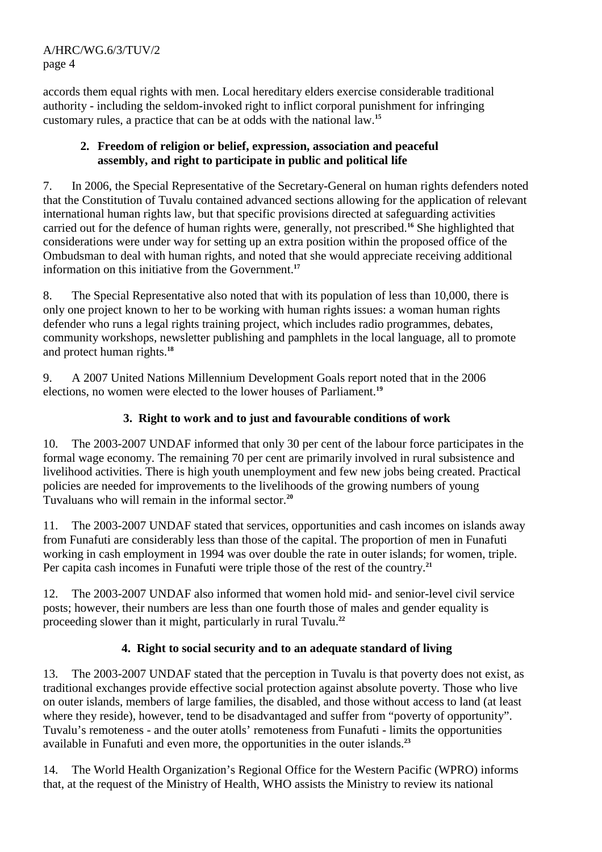accords them equal rights with men. Local hereditary elders exercise considerable traditional authority - including the seldom-invoked right to inflict corporal punishment for infringing customary rules, a practice that can be at odds with the national law.**<sup>15</sup>**

## **2. Freedom of religion or belief, expression, association and peaceful assembly, and right to participate in public and political life**

7. In 2006, the Special Representative of the Secretary-General on human rights defenders noted that the Constitution of Tuvalu contained advanced sections allowing for the application of relevant international human rights law, but that specific provisions directed at safeguarding activities carried out for the defence of human rights were, generally, not prescribed.**<sup>16</sup>** She highlighted that considerations were under way for setting up an extra position within the proposed office of the Ombudsman to deal with human rights, and noted that she would appreciate receiving additional information on this initiative from the Government.**<sup>17</sup>**

8. The Special Representative also noted that with its population of less than 10,000, there is only one project known to her to be working with human rights issues: a woman human rights defender who runs a legal rights training project, which includes radio programmes, debates, community workshops, newsletter publishing and pamphlets in the local language, all to promote and protect human rights.**<sup>18</sup>**

9. A 2007 United Nations Millennium Development Goals report noted that in the 2006 elections, no women were elected to the lower houses of Parliament.**<sup>19</sup>**

# **3. Right to work and to just and favourable conditions of work**

10. The 2003-2007 UNDAF informed that only 30 per cent of the labour force participates in the formal wage economy. The remaining 70 per cent are primarily involved in rural subsistence and livelihood activities. There is high youth unemployment and few new jobs being created. Practical policies are needed for improvements to the livelihoods of the growing numbers of young Tuvaluans who will remain in the informal sector.**<sup>20</sup>**

11. The 2003-2007 UNDAF stated that services, opportunities and cash incomes on islands away from Funafuti are considerably less than those of the capital. The proportion of men in Funafuti working in cash employment in 1994 was over double the rate in outer islands; for women, triple. Per capita cash incomes in Funafuti were triple those of the rest of the country.**<sup>21</sup>**

12. The 2003-2007 UNDAF also informed that women hold mid- and senior-level civil service posts; however, their numbers are less than one fourth those of males and gender equality is proceeding slower than it might, particularly in rural Tuvalu.**<sup>22</sup>**

# **4. Right to social security and to an adequate standard of living**

13. The 2003-2007 UNDAF stated that the perception in Tuvalu is that poverty does not exist, as traditional exchanges provide effective social protection against absolute poverty. Those who live on outer islands, members of large families, the disabled, and those without access to land (at least where they reside), however, tend to be disadvantaged and suffer from "poverty of opportunity". Tuvalu's remoteness - and the outer atolls' remoteness from Funafuti - limits the opportunities available in Funafuti and even more, the opportunities in the outer islands.**<sup>23</sup>**

14. The World Health Organization's Regional Office for the Western Pacific (WPRO) informs that, at the request of the Ministry of Health, WHO assists the Ministry to review its national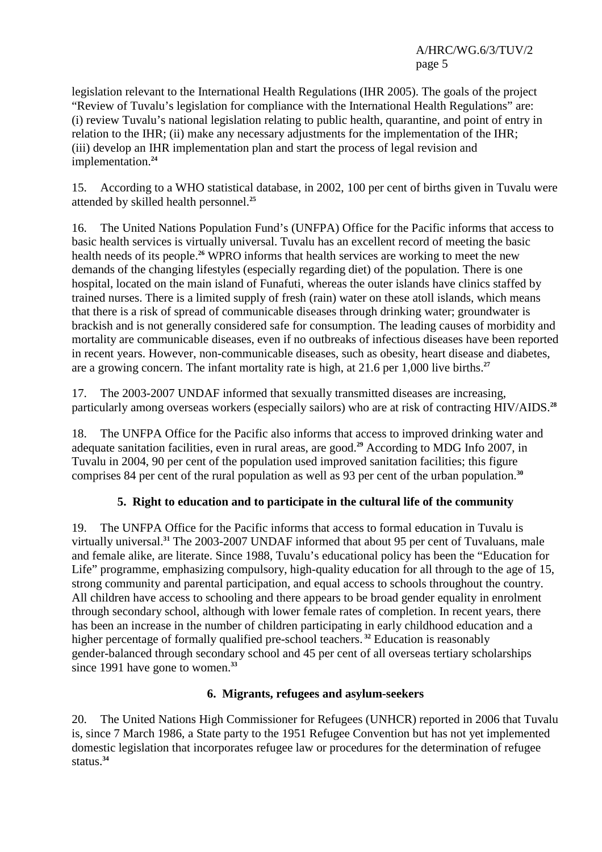legislation relevant to the International Health Regulations (IHR 2005). The goals of the project "Review of Tuvalu's legislation for compliance with the International Health Regulations" are: (i) review Tuvalu's national legislation relating to public health, quarantine, and point of entry in relation to the IHR; (ii) make any necessary adjustments for the implementation of the IHR; (iii) develop an IHR implementation plan and start the process of legal revision and implementation.**<sup>24</sup>**

15. According to a WHO statistical database, in 2002, 100 per cent of births given in Tuvalu were attended by skilled health personnel.**<sup>25</sup>**

16. The United Nations Population Fund's (UNFPA) Office for the Pacific informs that access to basic health services is virtually universal. Tuvalu has an excellent record of meeting the basic health needs of its people.**<sup>26</sup>** WPRO informs that health services are working to meet the new demands of the changing lifestyles (especially regarding diet) of the population. There is one hospital, located on the main island of Funafuti, whereas the outer islands have clinics staffed by trained nurses. There is a limited supply of fresh (rain) water on these atoll islands, which means that there is a risk of spread of communicable diseases through drinking water; groundwater is brackish and is not generally considered safe for consumption. The leading causes of morbidity and mortality are communicable diseases, even if no outbreaks of infectious diseases have been reported in recent years. However, non-communicable diseases, such as obesity, heart disease and diabetes, are a growing concern. The infant mortality rate is high, at 21.6 per 1,000 live births.**<sup>27</sup>**

17. The 2003-2007 UNDAF informed that sexually transmitted diseases are increasing, particularly among overseas workers (especially sailors) who are at risk of contracting HIV/AIDS.**<sup>28</sup>**

18. The UNFPA Office for the Pacific also informs that access to improved drinking water and adequate sanitation facilities, even in rural areas, are good.**<sup>29</sup>** According to MDG Info 2007, in Tuvalu in 2004, 90 per cent of the population used improved sanitation facilities; this figure comprises 84 per cent of the rural population as well as 93 per cent of the urban population.**<sup>30</sup>**

## **5. Right to education and to participate in the cultural life of the community**

19. The UNFPA Office for the Pacific informs that access to formal education in Tuvalu is virtually universal.**<sup>31</sup>** The 2003-2007 UNDAF informed that about 95 per cent of Tuvaluans, male and female alike, are literate. Since 1988, Tuvalu's educational policy has been the "Education for Life" programme, emphasizing compulsory, high-quality education for all through to the age of 15, strong community and parental participation, and equal access to schools throughout the country. All children have access to schooling and there appears to be broad gender equality in enrolment through secondary school, although with lower female rates of completion. In recent years, there has been an increase in the number of children participating in early childhood education and a higher percentage of formally qualified pre-school teachers.**<sup>32</sup>** Education is reasonably gender-balanced through secondary school and 45 per cent of all overseas tertiary scholarships since 1991 have gone to women.<sup>33</sup>

## **6. Migrants, refugees and asylum-seekers**

20. The United Nations High Commissioner for Refugees (UNHCR) reported in 2006 that Tuvalu is, since 7 March 1986, a State party to the 1951 Refugee Convention but has not yet implemented domestic legislation that incorporates refugee law or procedures for the determination of refugee status.**34**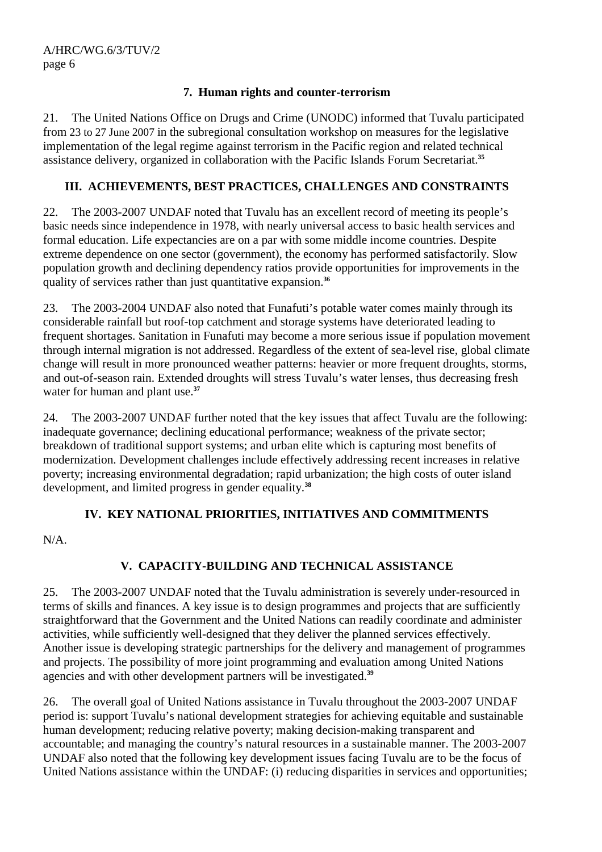## **7. Human rights and counter-terrorism**

21. The United Nations Office on Drugs and Crime (UNODC) informed that Tuvalu participated from 23 to 27 June 2007 in the subregional consultation workshop on measures for the legislative implementation of the legal regime against terrorism in the Pacific region and related technical assistance delivery, organized in collaboration with the Pacific Islands Forum Secretariat.**<sup>35</sup>**

# **III. ACHIEVEMENTS, BEST PRACTICES, CHALLENGES AND CONSTRAINTS**

22. The 2003-2007 UNDAF noted that Tuvalu has an excellent record of meeting its people's basic needs since independence in 1978, with nearly universal access to basic health services and formal education. Life expectancies are on a par with some middle income countries. Despite extreme dependence on one sector (government), the economy has performed satisfactorily. Slow population growth and declining dependency ratios provide opportunities for improvements in the quality of services rather than just quantitative expansion.**<sup>36</sup>**

23. The 2003-2004 UNDAF also noted that Funafuti's potable water comes mainly through its considerable rainfall but roof-top catchment and storage systems have deteriorated leading to frequent shortages. Sanitation in Funafuti may become a more serious issue if population movement through internal migration is not addressed. Regardless of the extent of sea-level rise, global climate change will result in more pronounced weather patterns: heavier or more frequent droughts, storms, and out-of-season rain. Extended droughts will stress Tuvalu's water lenses, thus decreasing fresh water for human and plant use.**<sup>37</sup>**

24. The 2003-2007 UNDAF further noted that the key issues that affect Tuvalu are the following: inadequate governance; declining educational performance; weakness of the private sector; breakdown of traditional support systems; and urban elite which is capturing most benefits of modernization. Development challenges include effectively addressing recent increases in relative poverty; increasing environmental degradation; rapid urbanization; the high costs of outer island development, and limited progress in gender equality.**<sup>38</sup>**

# **IV. KEY NATIONAL PRIORITIES, INITIATIVES AND COMMITMENTS**

N/A.

# **V. CAPACITY-BUILDING AND TECHNICAL ASSISTANCE**

25. The 2003-2007 UNDAF noted that the Tuvalu administration is severely under-resourced in terms of skills and finances. A key issue is to design programmes and projects that are sufficiently straightforward that the Government and the United Nations can readily coordinate and administer activities, while sufficiently well-designed that they deliver the planned services effectively. Another issue is developing strategic partnerships for the delivery and management of programmes and projects. The possibility of more joint programming and evaluation among United Nations agencies and with other development partners will be investigated.**<sup>39</sup>**

26. The overall goal of United Nations assistance in Tuvalu throughout the 2003-2007 UNDAF period is: support Tuvalu's national development strategies for achieving equitable and sustainable human development; reducing relative poverty; making decision-making transparent and accountable; and managing the country's natural resources in a sustainable manner. The 2003-2007 UNDAF also noted that the following key development issues facing Tuvalu are to be the focus of United Nations assistance within the UNDAF: (i) reducing disparities in services and opportunities;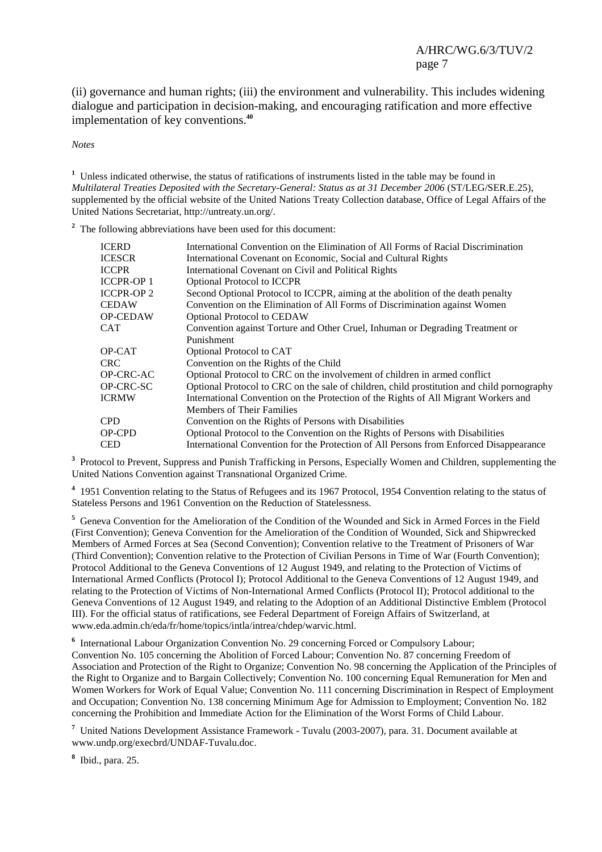(ii) governance and human rights; (iii) the environment and vulnerability. This includes widening dialogue and participation in decision-making, and encouraging ratification and more effective implementation of key conventions.**<sup>40</sup>**

*Notes* 

<sup>1</sup> Unless indicated otherwise, the status of ratifications of instruments listed in the table may be found in *Multilateral Treaties Deposited with the Secretary-General: Status as at 31 December 2006* (ST/LEG/SER.E.25), supplemented by the official website of the United Nations Treaty Collection database, Office of Legal Affairs of the United Nations Secretariat, http://untreaty.un.org/.

<sup>2</sup> The following abbreviations have been used for this document:

| <b>ICERD</b>      | International Convention on the Elimination of All Forms of Racial Discrimination          |
|-------------------|--------------------------------------------------------------------------------------------|
| ICESCR            | International Covenant on Economic, Social and Cultural Rights                             |
| ICCPR             | International Covenant on Civil and Political Rights                                       |
| ICCPR-OP 1        | <b>Optional Protocol to ICCPR</b>                                                          |
| <b>ICCPR-OP 2</b> | Second Optional Protocol to ICCPR, aiming at the abolition of the death penalty            |
| CEDAW             | Convention on the Elimination of All Forms of Discrimination against Women                 |
| <b>OP-CEDAW</b>   | <b>Optional Protocol to CEDAW</b>                                                          |
| CAT               | Convention against Torture and Other Cruel, Inhuman or Degrading Treatment or              |
|                   | Punishment                                                                                 |
| OP-CAT            | Optional Protocol to CAT                                                                   |
| CRC.              | Convention on the Rights of the Child                                                      |
| OP-CRC-AC         | Optional Protocol to CRC on the involvement of children in armed conflict                  |
| OP-CRC-SC         | Optional Protocol to CRC on the sale of children, child prostitution and child pornography |
| ICRMW             | International Convention on the Protection of the Rights of All Migrant Workers and        |
|                   | <b>Members of Their Families</b>                                                           |
| CPD               | Convention on the Rights of Persons with Disabilities                                      |
| OP-CPD            | Optional Protocol to the Convention on the Rights of Persons with Disabilities             |
| CED               | International Convention for the Protection of All Persons from Enforced Disappearance     |

<sup>3</sup> Protocol to Prevent, Suppress and Punish Trafficking in Persons, Especially Women and Children, supplementing the United Nations Convention against Transnational Organized Crime.

<sup>4</sup> 1951 Convention relating to the Status of Refugees and its 1967 Protocol, 1954 Convention relating to the status of Stateless Persons and 1961 Convention on the Reduction of Statelessness.

<sup>5</sup> Geneva Convention for the Amelioration of the Condition of the Wounded and Sick in Armed Forces in the Field (First Convention); Geneva Convention for the Amelioration of the Condition of Wounded, Sick and Shipwrecked Members of Armed Forces at Sea (Second Convention); Convention relative to the Treatment of Prisoners of War (Third Convention); Convention relative to the Protection of Civilian Persons in Time of War (Fourth Convention); Protocol Additional to the Geneva Conventions of 12 August 1949, and relating to the Protection of Victims of International Armed Conflicts (Protocol I); Protocol Additional to the Geneva Conventions of 12 August 1949, and relating to the Protection of Victims of Non-International Armed Conflicts (Protocol II); Protocol additional to the Geneva Conventions of 12 August 1949, and relating to the Adoption of an Additional Distinctive Emblem (Protocol III). For the official status of ratifications, see Federal Department of Foreign Affairs of Switzerland, at www.eda.admin.ch/eda/fr/home/topics/intla/intrea/chdep/warvic.html.

<sup>6</sup> International Labour Organization Convention No. 29 concerning Forced or Compulsory Labour; Convention No. 105 concerning the Abolition of Forced Labour; Convention No. 87 concerning Freedom of Association and Protection of the Right to Organize; Convention No. 98 concerning the Application of the Principles of the Right to Organize and to Bargain Collectively; Convention No. 100 concerning Equal Remuneration for Men and Women Workers for Work of Equal Value; Convention No. 111 concerning Discrimination in Respect of Employment and Occupation; Convention No. 138 concerning Minimum Age for Admission to Employment; Convention No. 182 concerning the Prohibition and Immediate Action for the Elimination of the Worst Forms of Child Labour.

**7** United Nations Development Assistance Framework - Tuvalu (2003-2007), para. 31. Document available at www.undp.org/execbrd/UNDAF-Tuvalu.doc.

**8** Ibid., para. 25.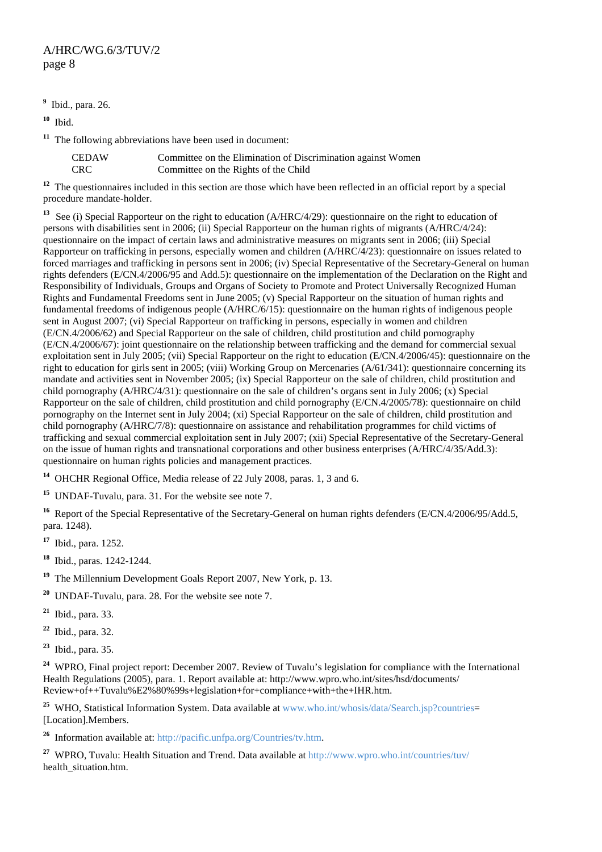**9** Ibid., para. 26.

**<sup>10</sup>** Ibid.

**<sup>11</sup>** The following abbreviations have been used in document:

| CEDAW      | Committee on the Elimination of Discrimination against Women |
|------------|--------------------------------------------------------------|
| <b>CRC</b> | Committee on the Rights of the Child                         |

**<sup>12</sup>** The questionnaires included in this section are those which have been reflected in an official report by a special procedure mandate-holder.

<sup>13</sup> See (i) Special Rapporteur on the right to education (A/HRC/4/29): questionnaire on the right to education of persons with disabilities sent in 2006; (ii) Special Rapporteur on the human rights of migrants (A/HRC/4/24): questionnaire on the impact of certain laws and administrative measures on migrants sent in 2006; (iii) Special Rapporteur on trafficking in persons, especially women and children (A/HRC/4/23): questionnaire on issues related to forced marriages and trafficking in persons sent in 2006; (iv) Special Representative of the Secretary-General on human rights defenders (E/CN.4/2006/95 and Add.5): questionnaire on the implementation of the Declaration on the Right and Responsibility of Individuals, Groups and Organs of Society to Promote and Protect Universally Recognized Human Rights and Fundamental Freedoms sent in June 2005; (v) Special Rapporteur on the situation of human rights and fundamental freedoms of indigenous people (A/HRC/6/15): questionnaire on the human rights of indigenous people sent in August 2007; (vi) Special Rapporteur on trafficking in persons, especially in women and children (E/CN.4/2006/62) and Special Rapporteur on the sale of children, child prostitution and child pornography (E/CN.4/2006/67): joint questionnaire on the relationship between trafficking and the demand for commercial sexual exploitation sent in July 2005; (vii) Special Rapporteur on the right to education (E/CN.4/2006/45): questionnaire on the right to education for girls sent in 2005; (viii) Working Group on Mercenaries (A/61/341): questionnaire concerning its mandate and activities sent in November 2005; (ix) Special Rapporteur on the sale of children, child prostitution and child pornography (A/HRC/4/31): questionnaire on the sale of children's organs sent in July 2006; (x) Special Rapporteur on the sale of children, child prostitution and child pornography (E/CN.4/2005/78): questionnaire on child pornography on the Internet sent in July 2004; (xi) Special Rapporteur on the sale of children, child prostitution and child pornography (A/HRC/7/8): questionnaire on assistance and rehabilitation programmes for child victims of trafficking and sexual commercial exploitation sent in July 2007; (xii) Special Representative of the Secretary-General on the issue of human rights and transnational corporations and other business enterprises (A/HRC/4/35/Add.3): questionnaire on human rights policies and management practices.

**<sup>14</sup>** OHCHR Regional Office, Media release of 22 July 2008, paras. 1, 3 and 6.

**<sup>15</sup>** UNDAF-Tuvalu, para. 31. For the website see note 7.

<sup>16</sup> Report of the Special Representative of the Secretary-General on human rights defenders (E/CN.4/2006/95/Add.5, para. 1248).

**<sup>17</sup>** Ibid., para. 1252.

**<sup>18</sup>** Ibid., paras. 1242-1244.

**<sup>19</sup>** The Millennium Development Goals Report 2007, New York, p. 13.

**<sup>20</sup>** UNDAF-Tuvalu, para. 28. For the website see note 7.

**<sup>21</sup>** Ibid., para. 33.

**<sup>22</sup>** Ibid., para. 32.

**<sup>23</sup>** Ibid., para. 35.

<sup>24</sup> WPRO, Final project report: December 2007. Review of Tuvalu's legislation for compliance with the International Health Regulations (2005), para. 1. Report available at: http://www.wpro.who.int/sites/hsd/documents/ Review+of++Tuvalu%E2%80%99s+legislation+for+compliance+with+the+IHR.htm.

<sup>25</sup> WHO, Statistical Information System. Data available at www.who.int/whosis/data/Search.jsp?countries= [Location].Members.

**<sup>26</sup>** Information available at: http://pacific.unfpa.org/Countries/tv.htm.

**<sup>27</sup>** WPRO, Tuvalu: Health Situation and Trend. Data available at http://www.wpro.who.int/countries/tuv/ health\_situation.htm.